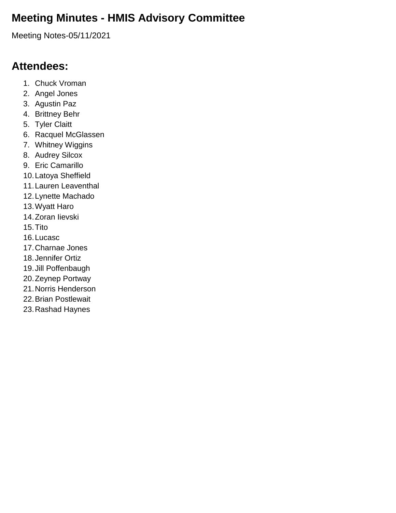## **Meeting Minutes - HMIS Advisory Committee**

Meeting Notes-05/11/2021

#### **Attendees:**

- 1. Chuck Vroman
- 2. Angel Jones
- 3. Agustin Paz
- 4. Brittney Behr
- 5. Tyler Claitt
- 6. Racquel McGlassen
- 7. Whitney Wiggins
- 8. Audrey Silcox
- 9. Eric Camarillo
- 10.Latoya Sheffield
- 11.Lauren Leaventhal
- 12.Lynette Machado
- 13.Wyatt Haro
- 14.Zoran Iievski
- 15.Tito
- 16.Lucasc
- 17.Charnae Jones
- 18.Jennifer Ortiz
- 19.Jill Poffenbaugh
- 20.Zeynep Portway
- 21.Norris Henderson
- 22.Brian Postlewait
- 23.Rashad Haynes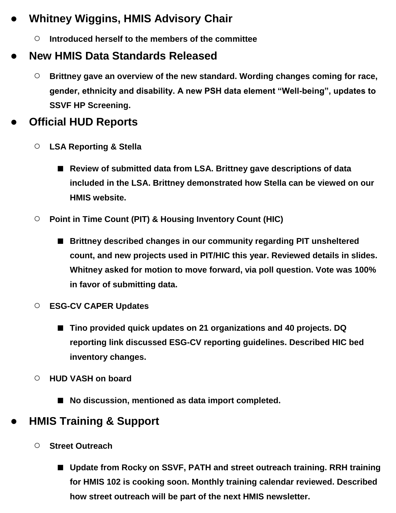# ● **Whitney Wiggins, HMIS Advisory Chair**

○ **Introduced herself to the members of the committee**

# ● **New HMIS Data Standards Released**

○ **Brittney gave an overview of the new standard. Wording changes coming for race, gender, ethnicity and disability. A new PSH data element "Well-being", updates to SSVF HP Screening.**

#### **Official HUD Reports**

- **LSA Reporting & Stella**
	- Review of submitted data from LSA. Brittney gave descriptions of data **included in the LSA. Brittney demonstrated how Stella can be viewed on our HMIS website.**
- **Point in Time Count (PIT) & Housing Inventory Count (HIC)**
	- **Brittney described changes in our community regarding PIT unsheltered count, and new projects used in PIT/HIC this year. Reviewed details in slides. Whitney asked for motion to move forward, via poll question. Vote was 100% in favor of submitting data.**
- **ESG-CV CAPER Updates**
	- **Tino provided quick updates on 21 organizations and 40 projects. DQ reporting link discussed ESG-CV reporting guidelines. Described HIC bed inventory changes.**
- **HUD VASH on board**
	- No discussion, mentioned as data import completed.

### ● **HMIS Training & Support**

- **Street Outreach**
	- Update from Rocky on SSVF, PATH and street outreach training. RRH training **for HMIS 102 is cooking soon. Monthly training calendar reviewed. Described how street outreach will be part of the next HMIS newsletter.**